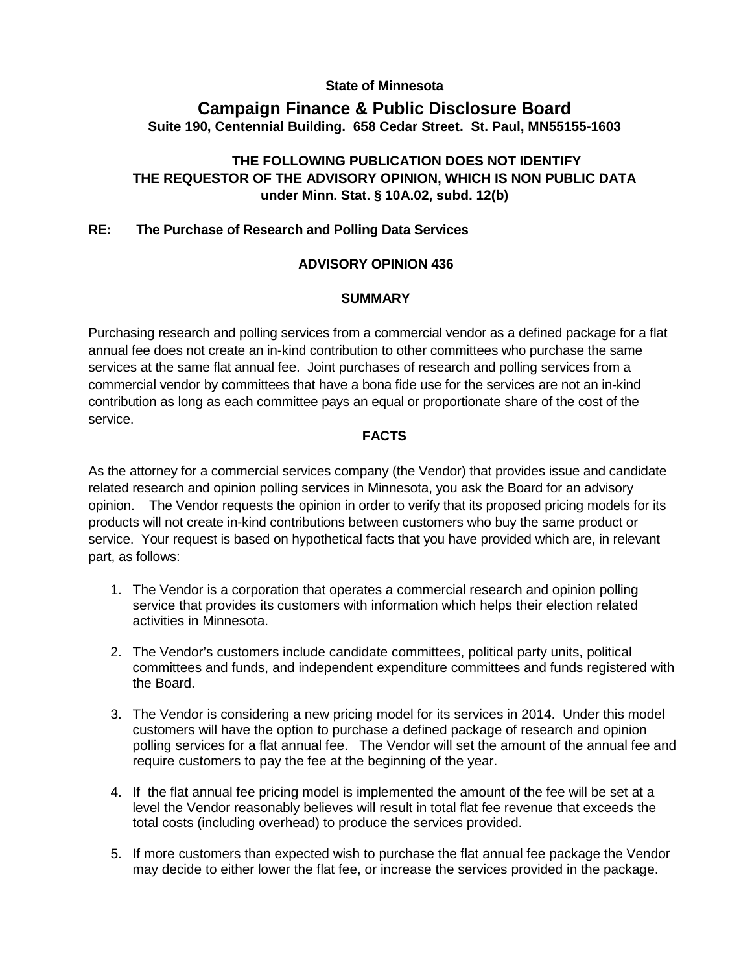## **State of Minnesota**

# **Campaign Finance & Public Disclosure Board Suite 190, Centennial Building. 658 Cedar Street. St. Paul, MN55155-1603**

# **THE FOLLOWING PUBLICATION DOES NOT IDENTIFY THE REQUESTOR OF THE ADVISORY OPINION, WHICH IS NON PUBLIC DATA under Minn. Stat. § 10A.02, subd. 12(b)**

## **RE: The Purchase of Research and Polling Data Services**

### **ADVISORY OPINION 436**

#### **SUMMARY**

Purchasing research and polling services from a commercial vendor as a defined package for a flat annual fee does not create an in-kind contribution to other committees who purchase the same services at the same flat annual fee. Joint purchases of research and polling services from a commercial vendor by committees that have a bona fide use for the services are not an in-kind contribution as long as each committee pays an equal or proportionate share of the cost of the service.

#### **FACTS**

As the attorney for a commercial services company (the Vendor) that provides issue and candidate related research and opinion polling services in Minnesota, you ask the Board for an advisory opinion. The Vendor requests the opinion in order to verify that its proposed pricing models for its products will not create in-kind contributions between customers who buy the same product or service. Your request is based on hypothetical facts that you have provided which are, in relevant part, as follows:

- 1. The Vendor is a corporation that operates a commercial research and opinion polling service that provides its customers with information which helps their election related activities in Minnesota.
- 2. The Vendor's customers include candidate committees, political party units, political committees and funds, and independent expenditure committees and funds registered with the Board.
- 3. The Vendor is considering a new pricing model for its services in 2014. Under this model customers will have the option to purchase a defined package of research and opinion polling services for a flat annual fee. The Vendor will set the amount of the annual fee and require customers to pay the fee at the beginning of the year.
- 4. If the flat annual fee pricing model is implemented the amount of the fee will be set at a level the Vendor reasonably believes will result in total flat fee revenue that exceeds the total costs (including overhead) to produce the services provided.
- 5. If more customers than expected wish to purchase the flat annual fee package the Vendor may decide to either lower the flat fee, or increase the services provided in the package.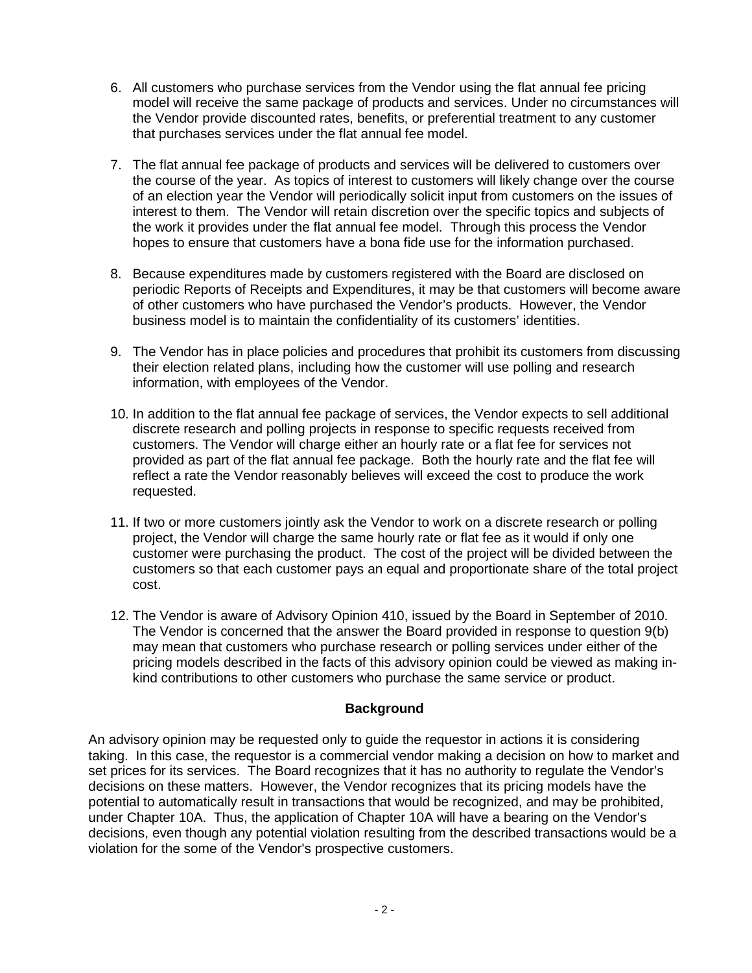- 6. All customers who purchase services from the Vendor using the flat annual fee pricing model will receive the same package of products and services. Under no circumstances will the Vendor provide discounted rates, benefits, or preferential treatment to any customer that purchases services under the flat annual fee model.
- 7. The flat annual fee package of products and services will be delivered to customers over the course of the year. As topics of interest to customers will likely change over the course of an election year the Vendor will periodically solicit input from customers on the issues of interest to them. The Vendor will retain discretion over the specific topics and subjects of the work it provides under the flat annual fee model. Through this process the Vendor hopes to ensure that customers have a bona fide use for the information purchased.
- 8. Because expenditures made by customers registered with the Board are disclosed on periodic Reports of Receipts and Expenditures, it may be that customers will become aware of other customers who have purchased the Vendor's products. However, the Vendor business model is to maintain the confidentiality of its customers' identities.
- 9. The Vendor has in place policies and procedures that prohibit its customers from discussing their election related plans, including how the customer will use polling and research information, with employees of the Vendor.
- 10. In addition to the flat annual fee package of services, the Vendor expects to sell additional discrete research and polling projects in response to specific requests received from customers. The Vendor will charge either an hourly rate or a flat fee for services not provided as part of the flat annual fee package. Both the hourly rate and the flat fee will reflect a rate the Vendor reasonably believes will exceed the cost to produce the work requested.
- 11. If two or more customers jointly ask the Vendor to work on a discrete research or polling project, the Vendor will charge the same hourly rate or flat fee as it would if only one customer were purchasing the product. The cost of the project will be divided between the customers so that each customer pays an equal and proportionate share of the total project cost.
- 12. The Vendor is aware of Advisory Opinion 410, issued by the Board in September of 2010. The Vendor is concerned that the answer the Board provided in response to question 9(b) may mean that customers who purchase research or polling services under either of the pricing models described in the facts of this advisory opinion could be viewed as making inkind contributions to other customers who purchase the same service or product.

# **Background**

An advisory opinion may be requested only to guide the requestor in actions it is considering taking. In this case, the requestor is a commercial vendor making a decision on how to market and set prices for its services. The Board recognizes that it has no authority to regulate the Vendor's decisions on these matters. However, the Vendor recognizes that its pricing models have the potential to automatically result in transactions that would be recognized, and may be prohibited, under Chapter 10A. Thus, the application of Chapter 10A will have a bearing on the Vendor's decisions, even though any potential violation resulting from the described transactions would be a violation for the some of the Vendor's prospective customers.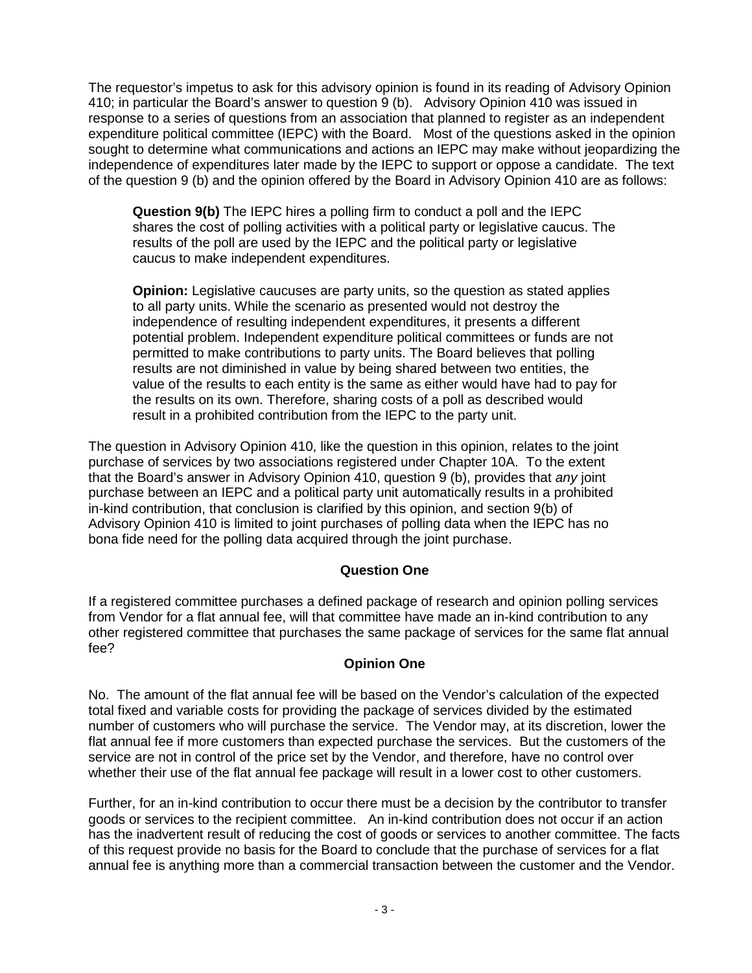The requestor's impetus to ask for this advisory opinion is found in its reading of Advisory Opinion 410; in particular the Board's answer to question 9 (b). Advisory Opinion 410 was issued in response to a series of questions from an association that planned to register as an independent expenditure political committee (IEPC) with the Board. Most of the questions asked in the opinion sought to determine what communications and actions an IEPC may make without jeopardizing the independence of expenditures later made by the IEPC to support or oppose a candidate. The text of the question 9 (b) and the opinion offered by the Board in Advisory Opinion 410 are as follows:

**Question 9(b)** The IEPC hires a polling firm to conduct a poll and the IEPC shares the cost of polling activities with a political party or legislative caucus. The results of the poll are used by the IEPC and the political party or legislative caucus to make independent expenditures.

**Opinion:** Legislative caucuses are party units, so the question as stated applies to all party units. While the scenario as presented would not destroy the independence of resulting independent expenditures, it presents a different potential problem. Independent expenditure political committees or funds are not permitted to make contributions to party units. The Board believes that polling results are not diminished in value by being shared between two entities, the value of the results to each entity is the same as either would have had to pay for the results on its own. Therefore, sharing costs of a poll as described would result in a prohibited contribution from the IEPC to the party unit.

The question in Advisory Opinion 410, like the question in this opinion, relates to the joint purchase of services by two associations registered under Chapter 10A. To the extent that the Board's answer in Advisory Opinion 410, question 9 (b), provides that *any* joint purchase between an IEPC and a political party unit automatically results in a prohibited in-kind contribution, that conclusion is clarified by this opinion, and section 9(b) of Advisory Opinion 410 is limited to joint purchases of polling data when the IEPC has no bona fide need for the polling data acquired through the joint purchase.

### **Question One**

If a registered committee purchases a defined package of research and opinion polling services from Vendor for a flat annual fee, will that committee have made an in-kind contribution to any other registered committee that purchases the same package of services for the same flat annual fee?

### **Opinion One**

No. The amount of the flat annual fee will be based on the Vendor's calculation of the expected total fixed and variable costs for providing the package of services divided by the estimated number of customers who will purchase the service. The Vendor may, at its discretion, lower the flat annual fee if more customers than expected purchase the services. But the customers of the service are not in control of the price set by the Vendor, and therefore, have no control over whether their use of the flat annual fee package will result in a lower cost to other customers.

Further, for an in-kind contribution to occur there must be a decision by the contributor to transfer goods or services to the recipient committee. An in-kind contribution does not occur if an action has the inadvertent result of reducing the cost of goods or services to another committee. The facts of this request provide no basis for the Board to conclude that the purchase of services for a flat annual fee is anything more than a commercial transaction between the customer and the Vendor.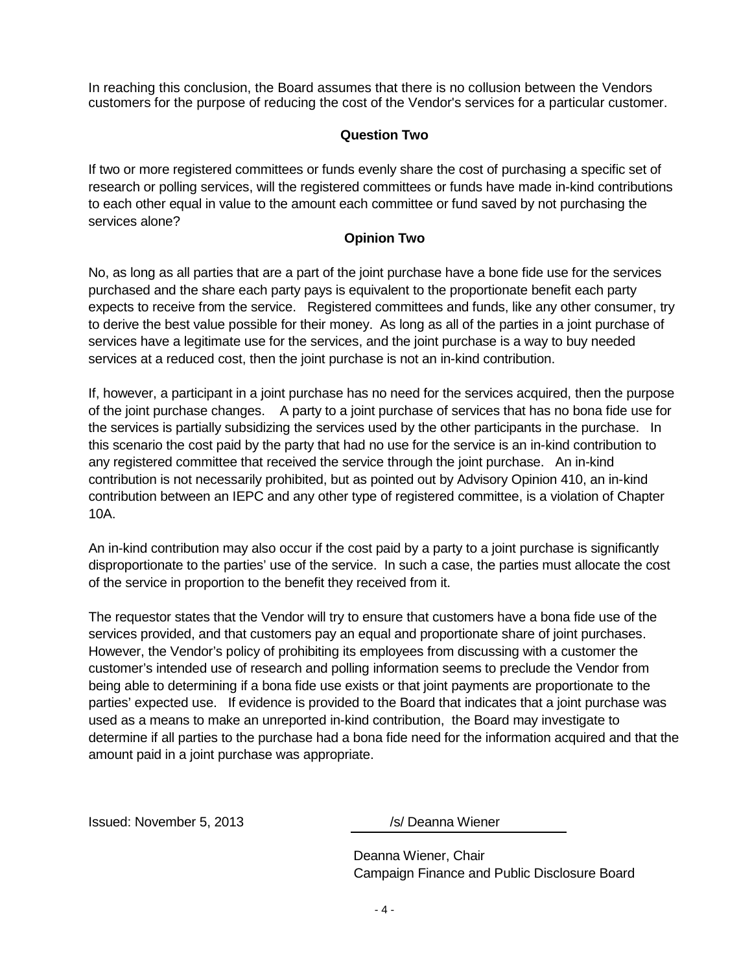In reaching this conclusion, the Board assumes that there is no collusion between the Vendors customers for the purpose of reducing the cost of the Vendor's services for a particular customer.

## **Question Two**

If two or more registered committees or funds evenly share the cost of purchasing a specific set of research or polling services, will the registered committees or funds have made in-kind contributions to each other equal in value to the amount each committee or fund saved by not purchasing the services alone?

### **Opinion Two**

No, as long as all parties that are a part of the joint purchase have a bone fide use for the services purchased and the share each party pays is equivalent to the proportionate benefit each party expects to receive from the service. Registered committees and funds, like any other consumer, try to derive the best value possible for their money. As long as all of the parties in a joint purchase of services have a legitimate use for the services, and the joint purchase is a way to buy needed services at a reduced cost, then the joint purchase is not an in-kind contribution.

If, however, a participant in a joint purchase has no need for the services acquired, then the purpose of the joint purchase changes. A party to a joint purchase of services that has no bona fide use for the services is partially subsidizing the services used by the other participants in the purchase. In this scenario the cost paid by the party that had no use for the service is an in-kind contribution to any registered committee that received the service through the joint purchase. An in-kind contribution is not necessarily prohibited, but as pointed out by Advisory Opinion 410, an in-kind contribution between an IEPC and any other type of registered committee, is a violation of Chapter 10A.

An in-kind contribution may also occur if the cost paid by a party to a joint purchase is significantly disproportionate to the parties' use of the service. In such a case, the parties must allocate the cost of the service in proportion to the benefit they received from it.

The requestor states that the Vendor will try to ensure that customers have a bona fide use of the services provided, and that customers pay an equal and proportionate share of joint purchases. However, the Vendor's policy of prohibiting its employees from discussing with a customer the customer's intended use of research and polling information seems to preclude the Vendor from being able to determining if a bona fide use exists or that joint payments are proportionate to the parties' expected use. If evidence is provided to the Board that indicates that a joint purchase was used as a means to make an unreported in-kind contribution, the Board may investigate to determine if all parties to the purchase had a bona fide need for the information acquired and that the amount paid in a joint purchase was appropriate.

Issued: November 5, 2013 /s/ Deanna Wiener

Deanna Wiener, Chair Campaign Finance and Public Disclosure Board